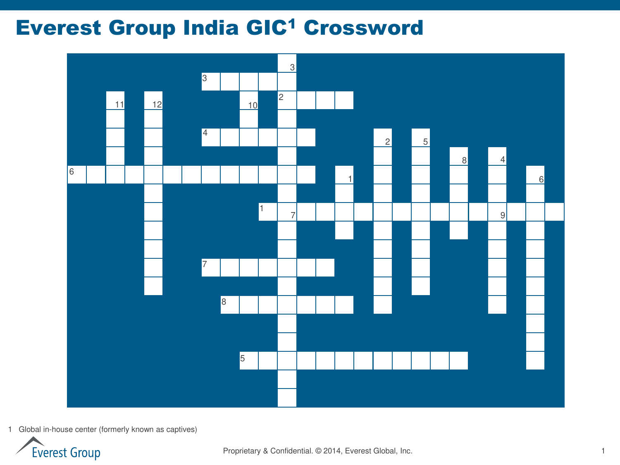## **Everest Group India GIC<sup>1</sup> Crossword**



1 Global in-house center (formerly known as captives)